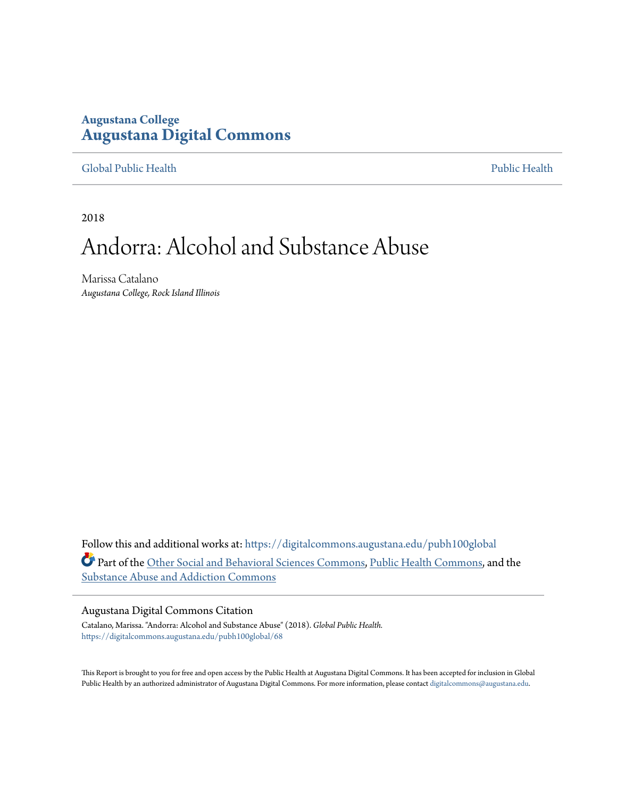## **Augustana College [Augustana Digital Commons](https://digitalcommons.augustana.edu?utm_source=digitalcommons.augustana.edu%2Fpubh100global%2F68&utm_medium=PDF&utm_campaign=PDFCoverPages)**

#### [Global Public Health](https://digitalcommons.augustana.edu/pubh100global?utm_source=digitalcommons.augustana.edu%2Fpubh100global%2F68&utm_medium=PDF&utm_campaign=PDFCoverPages) [Public Health](https://digitalcommons.augustana.edu/publichealth?utm_source=digitalcommons.augustana.edu%2Fpubh100global%2F68&utm_medium=PDF&utm_campaign=PDFCoverPages)

2018

# Andorra: Alcohol and Substance Abuse

Marissa Catalano *Augustana College, Rock Island Illinois*

Follow this and additional works at: [https://digitalcommons.augustana.edu/pubh100global](https://digitalcommons.augustana.edu/pubh100global?utm_source=digitalcommons.augustana.edu%2Fpubh100global%2F68&utm_medium=PDF&utm_campaign=PDFCoverPages) Part of the [Other Social and Behavioral Sciences Commons](http://network.bepress.com/hgg/discipline/437?utm_source=digitalcommons.augustana.edu%2Fpubh100global%2F68&utm_medium=PDF&utm_campaign=PDFCoverPages), [Public Health Commons,](http://network.bepress.com/hgg/discipline/738?utm_source=digitalcommons.augustana.edu%2Fpubh100global%2F68&utm_medium=PDF&utm_campaign=PDFCoverPages) and the [Substance Abuse and Addiction Commons](http://network.bepress.com/hgg/discipline/710?utm_source=digitalcommons.augustana.edu%2Fpubh100global%2F68&utm_medium=PDF&utm_campaign=PDFCoverPages)

#### Augustana Digital Commons Citation

Catalano, Marissa. "Andorra: Alcohol and Substance Abuse" (2018). *Global Public Health.* [https://digitalcommons.augustana.edu/pubh100global/68](https://digitalcommons.augustana.edu/pubh100global/68?utm_source=digitalcommons.augustana.edu%2Fpubh100global%2F68&utm_medium=PDF&utm_campaign=PDFCoverPages)

This Report is brought to you for free and open access by the Public Health at Augustana Digital Commons. It has been accepted for inclusion in Global Public Health by an authorized administrator of Augustana Digital Commons. For more information, please contact [digitalcommons@augustana.edu.](mailto:digitalcommons@augustana.edu)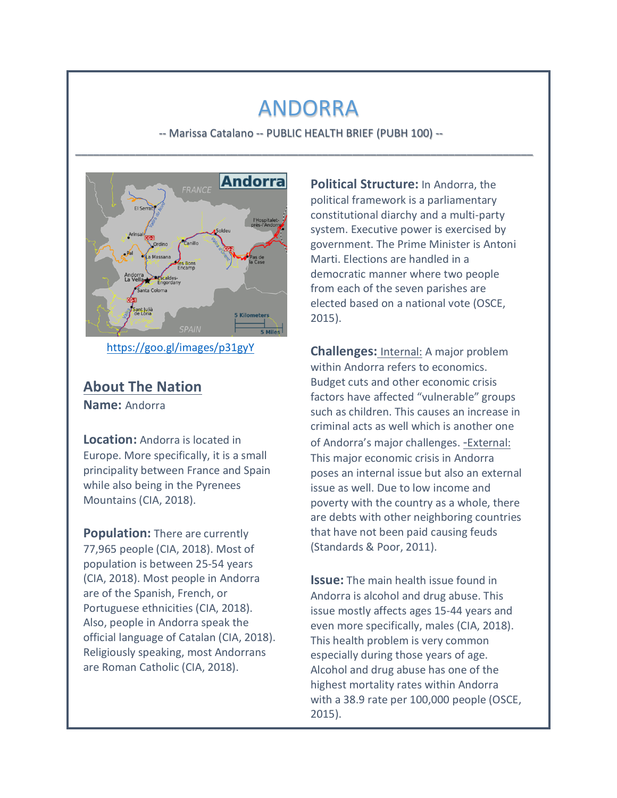## ANDORRA

-- Marissa Catalano -- PUBLIC HEALTH BRIEF (PUBH 100) --\_\_\_\_\_\_\_\_\_\_\_\_\_\_\_\_\_\_\_\_\_\_\_\_\_\_\_\_\_\_\_\_\_\_\_\_\_\_\_\_\_\_\_\_\_\_\_\_\_\_\_\_\_\_\_\_\_\_\_\_\_\_\_\_\_\_\_\_\_\_\_\_\_\_\_\_



https://goo.gl/images/p31gyY

### **About The Nation**

**Name:** Andorra

**Location:** Andorra is located in Europe. More specifically, it is a small principality between France and Spain while also being in the Pyrenees Mountains (CIA, 2018).

**Population:** There are currently 77,965 people (CIA, 2018). Most of population is between 25-54 years (CIA, 2018). Most people in Andorra are of the Spanish, French, or Portuguese ethnicities (CIA, 2018). Also, people in Andorra speak the official language of Catalan (CIA, 2018). Religiously speaking, most Andorrans are Roman Catholic (CIA, 2018).

**Political Structure:** In Andorra, the political framework is a parliamentary constitutional diarchy and a multi-party system. Executive power is exercised by government. The Prime Minister is Antoni Marti. Elections are handled in a democratic manner where two people from each of the seven parishes are elected based on a national vote (OSCE, 2015).

**Challenges:** Internal: A major problem within Andorra refers to economics. Budget cuts and other economic crisis factors have affected "vulnerable" groups such as children. This causes an increase in criminal acts as well which is another one of Andorra's major challenges. - External: This major economic crisis in Andorra poses an internal issue but also an external issue as well. Due to low income and poverty with the country as a whole, there are debts with other neighboring countries that have not been paid causing feuds (Standards & Poor, 2011).

**Issue:** The main health issue found in Andorra is alcohol and drug abuse. This issue mostly affects ages 15-44 years and even more specifically, males (CIA, 2018). This health problem is very common especially during those years of age. Alcohol and drug abuse has one of the highest mortality rates within Andorra with a 38.9 rate per 100,000 people (OSCE, 2015).